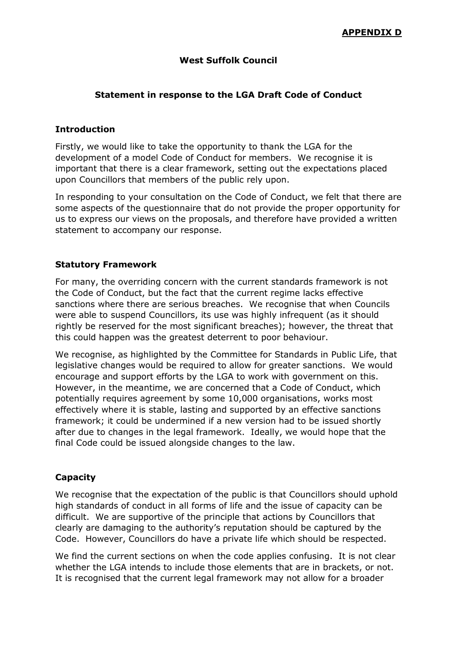# **West Suffolk Council**

# **Statement in response to the LGA Draft Code of Conduct**

## **Introduction**

Firstly, we would like to take the opportunity to thank the LGA for the development of a model Code of Conduct for members. We recognise it is important that there is a clear framework, setting out the expectations placed upon Councillors that members of the public rely upon.

In responding to your consultation on the Code of Conduct, we felt that there are some aspects of the questionnaire that do not provide the proper opportunity for us to express our views on the proposals, and therefore have provided a written statement to accompany our response.

# **Statutory Framework**

For many, the overriding concern with the current standards framework is not the Code of Conduct, but the fact that the current regime lacks effective sanctions where there are serious breaches. We recognise that when Councils were able to suspend Councillors, its use was highly infrequent (as it should rightly be reserved for the most significant breaches); however, the threat that this could happen was the greatest deterrent to poor behaviour.

We recognise, as highlighted by the Committee for Standards in Public Life, that legislative changes would be required to allow for greater sanctions. We would encourage and support efforts by the LGA to work with government on this. However, in the meantime, we are concerned that a Code of Conduct, which potentially requires agreement by some 10,000 organisations, works most effectively where it is stable, lasting and supported by an effective sanctions framework; it could be undermined if a new version had to be issued shortly after due to changes in the legal framework. Ideally, we would hope that the final Code could be issued alongside changes to the law.

# **Capacity**

We recognise that the expectation of the public is that Councillors should uphold high standards of conduct in all forms of life and the issue of capacity can be difficult. We are supportive of the principle that actions by Councillors that clearly are damaging to the authority's reputation should be captured by the Code. However, Councillors do have a private life which should be respected.

We find the current sections on when the code applies confusing. It is not clear whether the LGA intends to include those elements that are in brackets, or not. It is recognised that the current legal framework may not allow for a broader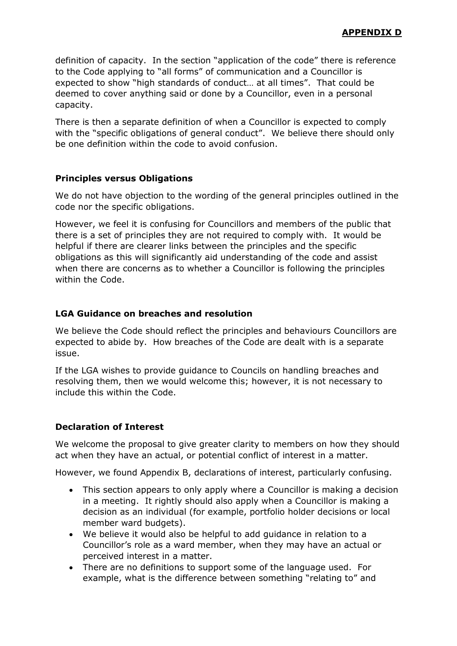definition of capacity. In the section "application of the code" there is reference to the Code applying to "all forms" of communication and a Councillor is expected to show "high standards of conduct… at all times". That could be deemed to cover anything said or done by a Councillor, even in a personal capacity.

There is then a separate definition of when a Councillor is expected to comply with the "specific obligations of general conduct". We believe there should only be one definition within the code to avoid confusion.

### **Principles versus Obligations**

We do not have objection to the wording of the general principles outlined in the code nor the specific obligations.

However, we feel it is confusing for Councillors and members of the public that there is a set of principles they are not required to comply with. It would be helpful if there are clearer links between the principles and the specific obligations as this will significantly aid understanding of the code and assist when there are concerns as to whether a Councillor is following the principles within the Code.

### **LGA Guidance on breaches and resolution**

We believe the Code should reflect the principles and behaviours Councillors are expected to abide by. How breaches of the Code are dealt with is a separate issue.

If the LGA wishes to provide guidance to Councils on handling breaches and resolving them, then we would welcome this; however, it is not necessary to include this within the Code.

## **Declaration of Interest**

We welcome the proposal to give greater clarity to members on how they should act when they have an actual, or potential conflict of interest in a matter.

However, we found Appendix B, declarations of interest, particularly confusing.

- This section appears to only apply where a Councillor is making a decision in a meeting. It rightly should also apply when a Councillor is making a decision as an individual (for example, portfolio holder decisions or local member ward budgets).
- We believe it would also be helpful to add guidance in relation to a Councillor's role as a ward member, when they may have an actual or perceived interest in a matter.
- There are no definitions to support some of the language used. For example, what is the difference between something "relating to" and